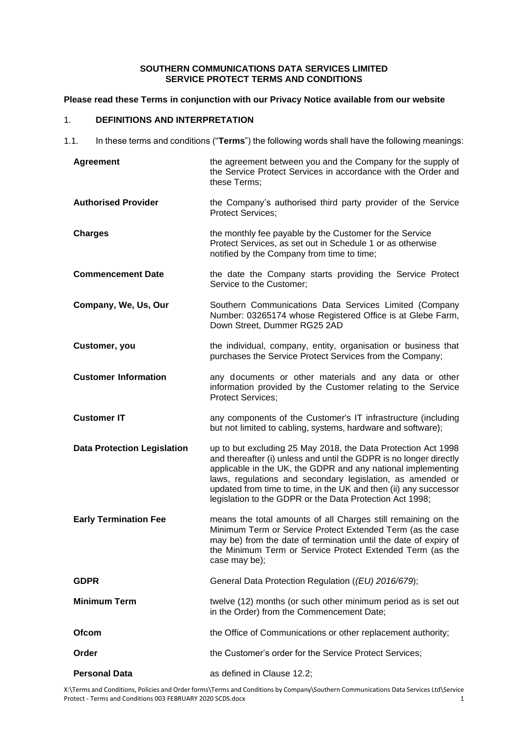### **SOUTHERN COMMUNICATIONS DATA SERVICES LIMITED SERVICE PROTECT TERMS AND CONDITIONS**

### **Please read these Terms in conjunction with our Privacy Notice available from our website**

# 1. **DEFINITIONS AND INTERPRETATION**

1.1. In these terms and conditions ("**Terms**") the following words shall have the following meanings:

| <b>Agreement</b>                   | the agreement between you and the Company for the supply of<br>the Service Protect Services in accordance with the Order and<br>these Terms;                                                                                                                                                                                                                                                      |
|------------------------------------|---------------------------------------------------------------------------------------------------------------------------------------------------------------------------------------------------------------------------------------------------------------------------------------------------------------------------------------------------------------------------------------------------|
| <b>Authorised Provider</b>         | the Company's authorised third party provider of the Service<br><b>Protect Services;</b>                                                                                                                                                                                                                                                                                                          |
| <b>Charges</b>                     | the monthly fee payable by the Customer for the Service<br>Protect Services, as set out in Schedule 1 or as otherwise<br>notified by the Company from time to time;                                                                                                                                                                                                                               |
| <b>Commencement Date</b>           | the date the Company starts providing the Service Protect<br>Service to the Customer;                                                                                                                                                                                                                                                                                                             |
| Company, We, Us, Our               | Southern Communications Data Services Limited (Company<br>Number: 03265174 whose Registered Office is at Glebe Farm,<br>Down Street, Dummer RG25 2AD                                                                                                                                                                                                                                              |
| Customer, you                      | the individual, company, entity, organisation or business that<br>purchases the Service Protect Services from the Company;                                                                                                                                                                                                                                                                        |
| <b>Customer Information</b>        | any documents or other materials and any data or other<br>information provided by the Customer relating to the Service<br><b>Protect Services;</b>                                                                                                                                                                                                                                                |
| <b>Customer IT</b>                 | any components of the Customer's IT infrastructure (including<br>but not limited to cabling, systems, hardware and software);                                                                                                                                                                                                                                                                     |
| <b>Data Protection Legislation</b> | up to but excluding 25 May 2018, the Data Protection Act 1998<br>and thereafter (i) unless and until the GDPR is no longer directly<br>applicable in the UK, the GDPR and any national implementing<br>laws, regulations and secondary legislation, as amended or<br>updated from time to time, in the UK and then (ii) any successor<br>legislation to the GDPR or the Data Protection Act 1998; |
| <b>Early Termination Fee</b>       | means the total amounts of all Charges still remaining on the<br>Minimum Term or Service Protect Extended Term (as the case<br>may be) from the date of termination until the date of expiry of<br>the Minimum Term or Service Protect Extended Term (as the<br>case may be);                                                                                                                     |
| <b>GDPR</b>                        | General Data Protection Regulation ((EU) 2016/679);                                                                                                                                                                                                                                                                                                                                               |
| <b>Minimum Term</b>                | twelve (12) months (or such other minimum period as is set out<br>in the Order) from the Commencement Date;                                                                                                                                                                                                                                                                                       |
| <b>Ofcom</b>                       | the Office of Communications or other replacement authority;                                                                                                                                                                                                                                                                                                                                      |
| Order                              | the Customer's order for the Service Protect Services;                                                                                                                                                                                                                                                                                                                                            |
| <b>Personal Data</b>               | as defined in Clause 12.2;                                                                                                                                                                                                                                                                                                                                                                        |

X:\Terms and Conditions, Policies and Order forms\Terms and Conditions by Company\Southern Communications Data Services Ltd\Service Protect - Terms and Conditions 003 FEBRUARY 2020 SCDS.docx 1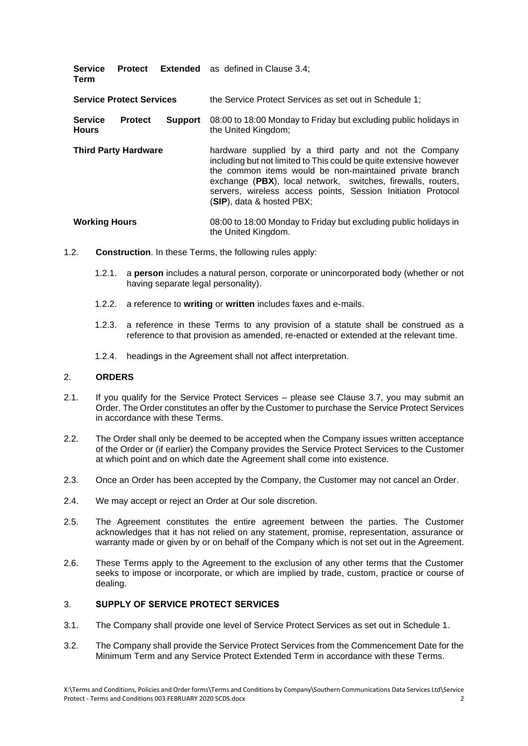| <b>Service</b><br>Term          |                |                | <b>Protect</b> Extended as defined in Clause 3.4;                                                                                                                                                                                                                                                                                                    |
|---------------------------------|----------------|----------------|------------------------------------------------------------------------------------------------------------------------------------------------------------------------------------------------------------------------------------------------------------------------------------------------------------------------------------------------------|
| <b>Service Protect Services</b> |                |                | the Service Protect Services as set out in Schedule 1:                                                                                                                                                                                                                                                                                               |
| <b>Service</b><br><b>Hours</b>  | <b>Protect</b> | <b>Support</b> | 08:00 to 18:00 Monday to Friday but excluding public holidays in<br>the United Kingdom;                                                                                                                                                                                                                                                              |
| <b>Third Party Hardware</b>     |                |                | hardware supplied by a third party and not the Company<br>including but not limited to This could be quite extensive however<br>the common items would be non-maintained private branch<br>exchange (PBX), local network, switches, firewalls, routers,<br>servers, wireless access points, Session Initiation Protocol<br>(SIP), data & hosted PBX; |

### **Working Hours** 08:00 to 18:00 Monday to Friday but excluding public holidays in the United Kingdom.

- 1.2. **Construction**. In these Terms, the following rules apply:
	- 1.2.1. a **person** includes a natural person, corporate or unincorporated body (whether or not having separate legal personality).
	- 1.2.2. a reference to **writing** or **written** includes faxes and e-mails.
	- 1.2.3. a reference in these Terms to any provision of a statute shall be construed as a reference to that provision as amended, re-enacted or extended at the relevant time.
	- 1.2.4. headings in the Agreement shall not affect interpretation.

### 2. **ORDERS**

- 2.1. If you qualify for the Service Protect Services please see Clause 3.7, you may submit an Order. The Order constitutes an offer by the Customer to purchase the Service Protect Services in accordance with these Terms.
- 2.2. The Order shall only be deemed to be accepted when the Company issues written acceptance of the Order or (if earlier) the Company provides the Service Protect Services to the Customer at which point and on which date the Agreement shall come into existence.
- 2.3. Once an Order has been accepted by the Company, the Customer may not cancel an Order.
- 2.4. We may accept or reject an Order at Our sole discretion.
- 2.5. The Agreement constitutes the entire agreement between the parties. The Customer acknowledges that it has not relied on any statement, promise, representation, assurance or warranty made or given by or on behalf of the Company which is not set out in the Agreement.
- 2.6. These Terms apply to the Agreement to the exclusion of any other terms that the Customer seeks to impose or incorporate, or which are implied by trade, custom, practice or course of dealing.

### 3. **SUPPLY OF SERVICE PROTECT SERVICES**

- 3.1. The Company shall provide one level of Service Protect Services as set out in Schedule 1.
- 3.2. The Company shall provide the Service Protect Services from the Commencement Date for the Minimum Term and any Service Protect Extended Term in accordance with these Terms.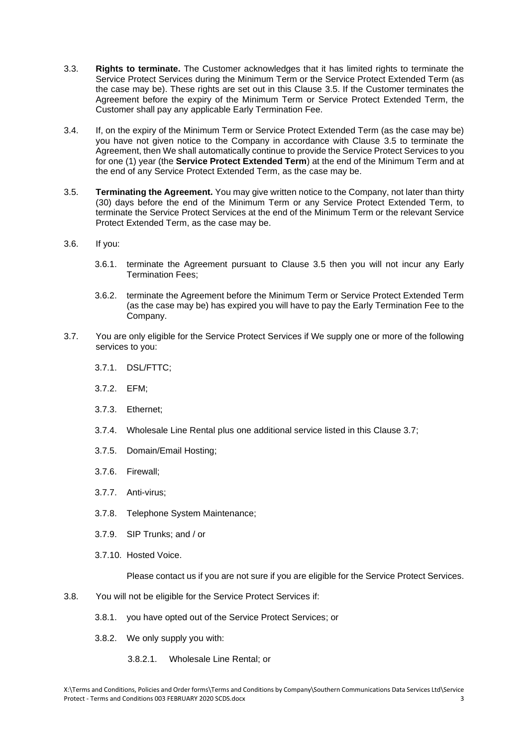- 3.3. **Rights to terminate.** The Customer acknowledges that it has limited rights to terminate the Service Protect Services during the Minimum Term or the Service Protect Extended Term (as the case may be). These rights are set out in this Clause 3.5. If the Customer terminates the Agreement before the expiry of the Minimum Term or Service Protect Extended Term, the Customer shall pay any applicable Early Termination Fee.
- 3.4. If, on the expiry of the Minimum Term or Service Protect Extended Term (as the case may be) you have not given notice to the Company in accordance with Clause 3.5 to terminate the Agreement, then We shall automatically continue to provide the Service Protect Services to you for one (1) year (the **Service Protect Extended Term**) at the end of the Minimum Term and at the end of any Service Protect Extended Term, as the case may be.
- 3.5. **Terminating the Agreement.** You may give written notice to the Company, not later than thirty (30) days before the end of the Minimum Term or any Service Protect Extended Term, to terminate the Service Protect Services at the end of the Minimum Term or the relevant Service Protect Extended Term, as the case may be.
- 3.6. If you:
	- 3.6.1. terminate the Agreement pursuant to Clause 3.5 then you will not incur any Early Termination Fees;
	- 3.6.2. terminate the Agreement before the Minimum Term or Service Protect Extended Term (as the case may be) has expired you will have to pay the Early Termination Fee to the Company.
- 3.7. You are only eligible for the Service Protect Services if We supply one or more of the following services to you:
	- 3.7.1. DSL/FTTC;
	- 3.7.2. EFM;
	- 3.7.3. Ethernet;
	- 3.7.4. Wholesale Line Rental plus one additional service listed in this Clause 3.7;
	- 3.7.5. Domain/Email Hosting;
	- 3.7.6. Firewall;
	- 3.7.7. Anti-virus;
	- 3.7.8. Telephone System Maintenance;
	- 3.7.9. SIP Trunks; and / or
	- 3.7.10. Hosted Voice.

Please contact us if you are not sure if you are eligible for the Service Protect Services.

- 3.8. You will not be eligible for the Service Protect Services if:
	- 3.8.1. you have opted out of the Service Protect Services; or
	- 3.8.2. We only supply you with:
		- 3.8.2.1. Wholesale Line Rental; or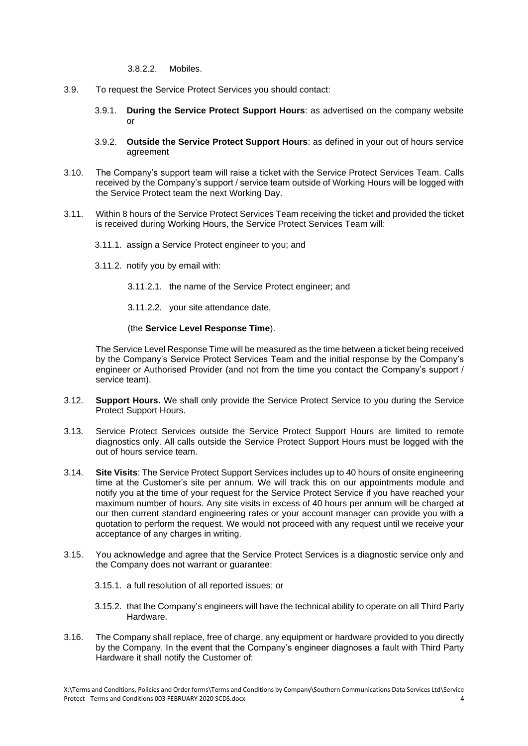3.8.2.2. Mobiles.

- 3.9. To request the Service Protect Services you should contact:
	- 3.9.1. **During the Service Protect Support Hours**: as advertised on the company website or
	- 3.9.2. **Outside the Service Protect Support Hours**: as defined in your out of hours service agreement
- 3.10. The Company's support team will raise a ticket with the Service Protect Services Team. Calls received by the Company's support / service team outside of Working Hours will be logged with the Service Protect team the next Working Day.
- 3.11. Within 8 hours of the Service Protect Services Team receiving the ticket and provided the ticket is received during Working Hours, the Service Protect Services Team will:
	- 3.11.1. assign a Service Protect engineer to you; and
	- 3.11.2. notify you by email with:
		- 3.11.2.1. the name of the Service Protect engineer; and
		- 3.11.2.2. your site attendance date,

#### (the **Service Level Response Time**).

The Service Level Response Time will be measured as the time between a ticket being received by the Company's Service Protect Services Team and the initial response by the Company's engineer or Authorised Provider (and not from the time you contact the Company's support / service team).

- 3.12. **Support Hours.** We shall only provide the Service Protect Service to you during the Service Protect Support Hours.
- 3.13. Service Protect Services outside the Service Protect Support Hours are limited to remote diagnostics only. All calls outside the Service Protect Support Hours must be logged with the out of hours service team.
- 3.14. **Site Visits**: The Service Protect Support Services includes up to 40 hours of onsite engineering time at the Customer's site per annum. We will track this on our appointments module and notify you at the time of your request for the Service Protect Service if you have reached your maximum number of hours. Any site visits in excess of 40 hours per annum will be charged at our then current standard engineering rates or your account manager can provide you with a quotation to perform the request. We would not proceed with any request until we receive your acceptance of any charges in writing.
- 3.15. You acknowledge and agree that the Service Protect Services is a diagnostic service only and the Company does not warrant or guarantee:
	- 3.15.1. a full resolution of all reported issues; or
	- 3.15.2. that the Company's engineers will have the technical ability to operate on all Third Party Hardware.
- 3.16. The Company shall replace, free of charge, any equipment or hardware provided to you directly by the Company. In the event that the Company's engineer diagnoses a fault with Third Party Hardware it shall notify the Customer of: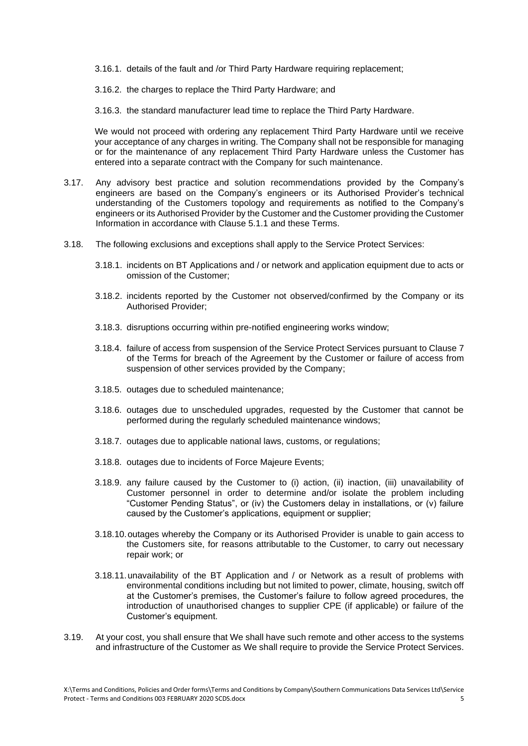3.16.1. details of the fault and /or Third Party Hardware requiring replacement;

3.16.2. the charges to replace the Third Party Hardware; and

3.16.3. the standard manufacturer lead time to replace the Third Party Hardware.

We would not proceed with ordering any replacement Third Party Hardware until we receive your acceptance of any charges in writing. The Company shall not be responsible for managing or for the maintenance of any replacement Third Party Hardware unless the Customer has entered into a separate contract with the Company for such maintenance.

- 3.17. Any advisory best practice and solution recommendations provided by the Company's engineers are based on the Company's engineers or its Authorised Provider's technical understanding of the Customers topology and requirements as notified to the Company's engineers or its Authorised Provider by the Customer and the Customer providing the Customer Information in accordance with Clause 5.1.1 and these Terms.
- 3.18. The following exclusions and exceptions shall apply to the Service Protect Services:
	- 3.18.1. incidents on BT Applications and / or network and application equipment due to acts or omission of the Customer;
	- 3.18.2. incidents reported by the Customer not observed/confirmed by the Company or its Authorised Provider;
	- 3.18.3. disruptions occurring within pre-notified engineering works window;
	- 3.18.4. failure of access from suspension of the Service Protect Services pursuant to Clause 7 of the Terms for breach of the Agreement by the Customer or failure of access from suspension of other services provided by the Company;
	- 3.18.5. outages due to scheduled maintenance;
	- 3.18.6. outages due to unscheduled upgrades, requested by the Customer that cannot be performed during the regularly scheduled maintenance windows;
	- 3.18.7. outages due to applicable national laws, customs, or regulations;
	- 3.18.8. outages due to incidents of Force Majeure Events;
	- 3.18.9. any failure caused by the Customer to (i) action, (ii) inaction, (iii) unavailability of Customer personnel in order to determine and/or isolate the problem including "Customer Pending Status", or (iv) the Customers delay in installations, or (v) failure caused by the Customer's applications, equipment or supplier;
	- 3.18.10.outages whereby the Company or its Authorised Provider is unable to gain access to the Customers site, for reasons attributable to the Customer, to carry out necessary repair work; or
	- 3.18.11.unavailability of the BT Application and / or Network as a result of problems with environmental conditions including but not limited to power, climate, housing, switch off at the Customer's premises, the Customer's failure to follow agreed procedures, the introduction of unauthorised changes to supplier CPE (if applicable) or failure of the Customer's equipment.
- 3.19. At your cost, you shall ensure that We shall have such remote and other access to the systems and infrastructure of the Customer as We shall require to provide the Service Protect Services.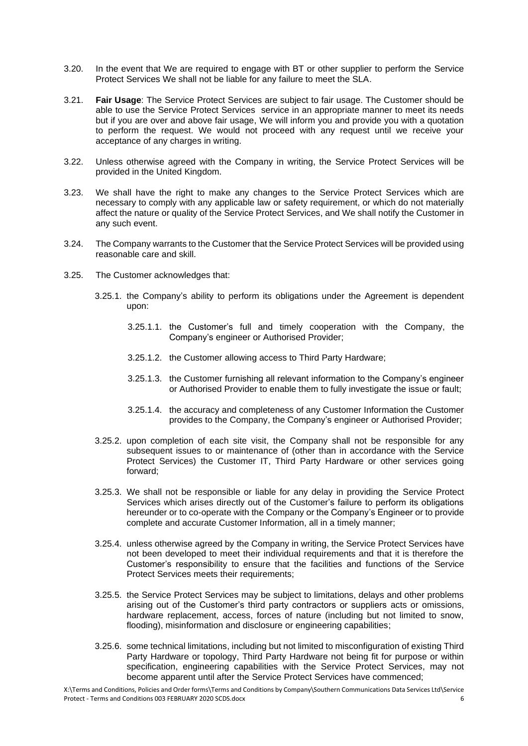- 3.20. In the event that We are required to engage with BT or other supplier to perform the Service Protect Services We shall not be liable for any failure to meet the SLA.
- 3.21. **Fair Usage**: The Service Protect Services are subject to fair usage. The Customer should be able to use the Service Protect Services service in an appropriate manner to meet its needs but if you are over and above fair usage, We will inform you and provide you with a quotation to perform the request. We would not proceed with any request until we receive your acceptance of any charges in writing.
- 3.22. Unless otherwise agreed with the Company in writing, the Service Protect Services will be provided in the United Kingdom.
- 3.23. We shall have the right to make any changes to the Service Protect Services which are necessary to comply with any applicable law or safety requirement, or which do not materially affect the nature or quality of the Service Protect Services, and We shall notify the Customer in any such event.
- 3.24. The Company warrants to the Customer that the Service Protect Services will be provided using reasonable care and skill.
- 3.25. The Customer acknowledges that:
	- 3.25.1. the Company's ability to perform its obligations under the Agreement is dependent upon:
		- 3.25.1.1. the Customer's full and timely cooperation with the Company, the Company's engineer or Authorised Provider;
		- 3.25.1.2. the Customer allowing access to Third Party Hardware;
		- 3.25.1.3. the Customer furnishing all relevant information to the Company's engineer or Authorised Provider to enable them to fully investigate the issue or fault;
		- 3.25.1.4. the accuracy and completeness of any Customer Information the Customer provides to the Company, the Company's engineer or Authorised Provider;
	- 3.25.2. upon completion of each site visit, the Company shall not be responsible for any subsequent issues to or maintenance of (other than in accordance with the Service Protect Services) the Customer IT, Third Party Hardware or other services going forward;
	- 3.25.3. We shall not be responsible or liable for any delay in providing the Service Protect Services which arises directly out of the Customer's failure to perform its obligations hereunder or to co-operate with the Company or the Company's Engineer or to provide complete and accurate Customer Information, all in a timely manner;
	- 3.25.4. unless otherwise agreed by the Company in writing, the Service Protect Services have not been developed to meet their individual requirements and that it is therefore the Customer's responsibility to ensure that the facilities and functions of the Service Protect Services meets their requirements;
	- 3.25.5. the Service Protect Services may be subject to limitations, delays and other problems arising out of the Customer's third party contractors or suppliers acts or omissions, hardware replacement, access, forces of nature (including but not limited to snow, flooding), misinformation and disclosure or engineering capabilities;
	- 3.25.6. some technical limitations, including but not limited to misconfiguration of existing Third Party Hardware or topology, Third Party Hardware not being fit for purpose or within specification, engineering capabilities with the Service Protect Services, may not become apparent until after the Service Protect Services have commenced;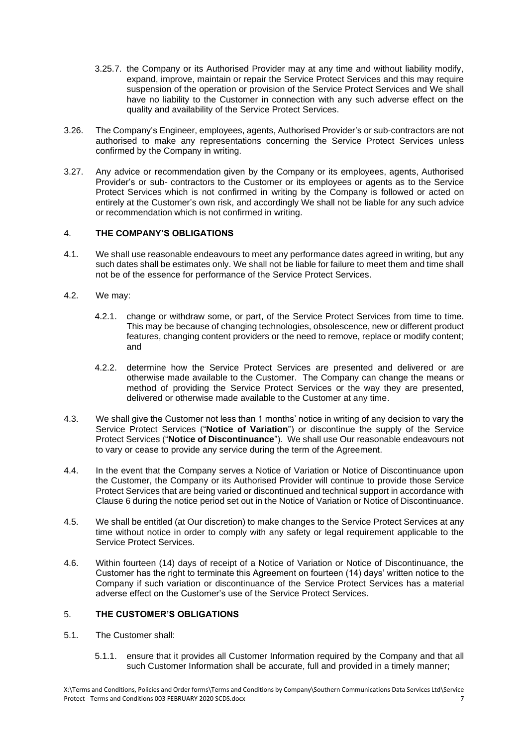- 3.25.7. the Company or its Authorised Provider may at any time and without liability modify, expand, improve, maintain or repair the Service Protect Services and this may require suspension of the operation or provision of the Service Protect Services and We shall have no liability to the Customer in connection with any such adverse effect on the quality and availability of the Service Protect Services.
- 3.26. The Company's Engineer, employees, agents, Authorised Provider's or sub-contractors are not authorised to make any representations concerning the Service Protect Services unless confirmed by the Company in writing.
- 3.27. Any advice or recommendation given by the Company or its employees, agents, Authorised Provider's or sub- contractors to the Customer or its employees or agents as to the Service Protect Services which is not confirmed in writing by the Company is followed or acted on entirely at the Customer's own risk, and accordingly We shall not be liable for any such advice or recommendation which is not confirmed in writing.

### 4. **THE COMPANY'S OBLIGATIONS**

- 4.1. We shall use reasonable endeavours to meet any performance dates agreed in writing, but any such dates shall be estimates only. We shall not be liable for failure to meet them and time shall not be of the essence for performance of the Service Protect Services.
- 4.2. We may:
	- 4.2.1. change or withdraw some, or part, of the Service Protect Services from time to time. This may be because of changing technologies, obsolescence, new or different product features, changing content providers or the need to remove, replace or modify content; and
	- 4.2.2. determine how the Service Protect Services are presented and delivered or are otherwise made available to the Customer. The Company can change the means or method of providing the Service Protect Services or the way they are presented, delivered or otherwise made available to the Customer at any time.
- 4.3. We shall give the Customer not less than 1 months' notice in writing of any decision to vary the Service Protect Services ("**Notice of Variation**") or discontinue the supply of the Service Protect Services ("**Notice of Discontinuance**"). We shall use Our reasonable endeavours not to vary or cease to provide any service during the term of the Agreement.
- 4.4. In the event that the Company serves a Notice of Variation or Notice of Discontinuance upon the Customer, the Company or its Authorised Provider will continue to provide those Service Protect Services that are being varied or discontinued and technical support in accordance with Clause 6 during the notice period set out in the Notice of Variation or Notice of Discontinuance.
- 4.5. We shall be entitled (at Our discretion) to make changes to the Service Protect Services at any time without notice in order to comply with any safety or legal requirement applicable to the Service Protect Services.
- 4.6. Within fourteen (14) days of receipt of a Notice of Variation or Notice of Discontinuance, the Customer has the right to terminate this Agreement on fourteen (14) days' written notice to the Company if such variation or discontinuance of the Service Protect Services has a material adverse effect on the Customer's use of the Service Protect Services.

# 5. **THE CUSTOMER'S OBLIGATIONS**

- 5.1. The Customer shall:
	- 5.1.1. ensure that it provides all Customer Information required by the Company and that all such Customer Information shall be accurate, full and provided in a timely manner;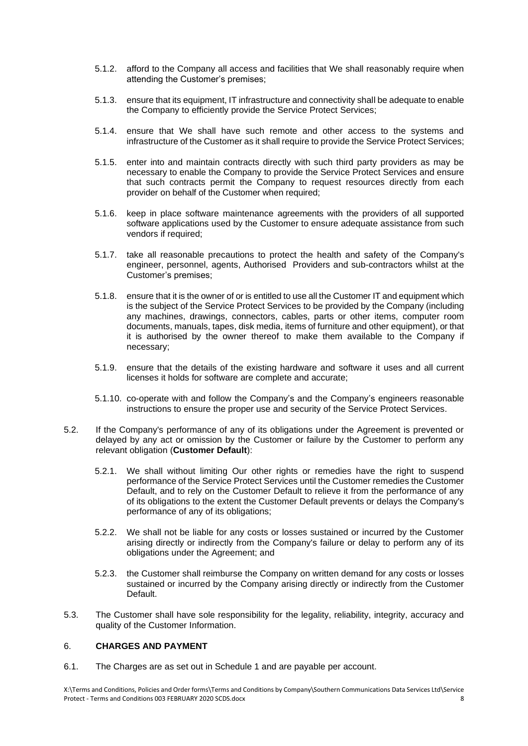- 5.1.2. afford to the Company all access and facilities that We shall reasonably require when attending the Customer's premises;
- 5.1.3. ensure that its equipment, IT infrastructure and connectivity shall be adequate to enable the Company to efficiently provide the Service Protect Services;
- 5.1.4. ensure that We shall have such remote and other access to the systems and infrastructure of the Customer as it shall require to provide the Service Protect Services;
- 5.1.5. enter into and maintain contracts directly with such third party providers as may be necessary to enable the Company to provide the Service Protect Services and ensure that such contracts permit the Company to request resources directly from each provider on behalf of the Customer when required;
- 5.1.6. keep in place software maintenance agreements with the providers of all supported software applications used by the Customer to ensure adequate assistance from such vendors if required;
- 5.1.7. take all reasonable precautions to protect the health and safety of the Company's engineer, personnel, agents, Authorised Providers and sub-contractors whilst at the Customer's premises;
- 5.1.8. ensure that it is the owner of or is entitled to use all the Customer IT and equipment which is the subject of the Service Protect Services to be provided by the Company (including any machines, drawings, connectors, cables, parts or other items, computer room documents, manuals, tapes, disk media, items of furniture and other equipment), or that it is authorised by the owner thereof to make them available to the Company if necessary;
- 5.1.9. ensure that the details of the existing hardware and software it uses and all current licenses it holds for software are complete and accurate;
- 5.1.10. co-operate with and follow the Company's and the Company's engineers reasonable instructions to ensure the proper use and security of the Service Protect Services.
- 5.2. If the Company's performance of any of its obligations under the Agreement is prevented or delayed by any act or omission by the Customer or failure by the Customer to perform any relevant obligation (**Customer Default**):
	- 5.2.1. We shall without limiting Our other rights or remedies have the right to suspend performance of the Service Protect Services until the Customer remedies the Customer Default, and to rely on the Customer Default to relieve it from the performance of any of its obligations to the extent the Customer Default prevents or delays the Company's performance of any of its obligations;
	- 5.2.2. We shall not be liable for any costs or losses sustained or incurred by the Customer arising directly or indirectly from the Company's failure or delay to perform any of its obligations under the Agreement; and
	- 5.2.3. the Customer shall reimburse the Company on written demand for any costs or losses sustained or incurred by the Company arising directly or indirectly from the Customer Default.
- 5.3. The Customer shall have sole responsibility for the legality, reliability, integrity, accuracy and quality of the Customer Information.

### 6. **CHARGES AND PAYMENT**

6.1. The Charges are as set out in Schedule 1 and are payable per account.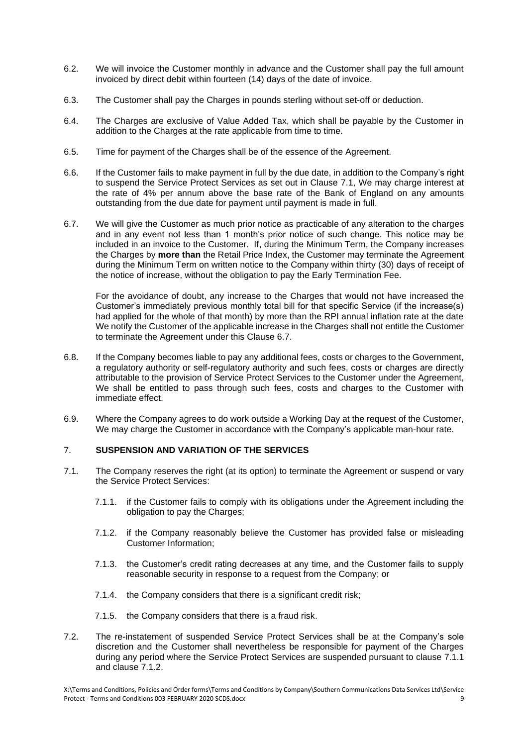- 6.2. We will invoice the Customer monthly in advance and the Customer shall pay the full amount invoiced by direct debit within fourteen (14) days of the date of invoice.
- 6.3. The Customer shall pay the Charges in pounds sterling without set-off or deduction.
- 6.4. The Charges are exclusive of Value Added Tax, which shall be payable by the Customer in addition to the Charges at the rate applicable from time to time.
- 6.5. Time for payment of the Charges shall be of the essence of the Agreement.
- 6.6. If the Customer fails to make payment in full by the due date, in addition to the Company's right to suspend the Service Protect Services as set out in Clause 7.1, We may charge interest at the rate of 4% per annum above the base rate of the Bank of England on any amounts outstanding from the due date for payment until payment is made in full.
- 6.7. We will give the Customer as much prior notice as practicable of any alteration to the charges and in any event not less than 1 month's prior notice of such change. This notice may be included in an invoice to the Customer. If, during the Minimum Term, the Company increases the Charges by **more than** the Retail Price Index, the Customer may terminate the Agreement during the Minimum Term on written notice to the Company within thirty (30) days of receipt of the notice of increase, without the obligation to pay the Early Termination Fee.

For the avoidance of doubt, any increase to the Charges that would not have increased the Customer's immediately previous monthly total bill for that specific Service (if the increase(s) had applied for the whole of that month) by more than the RPI annual inflation rate at the date We notify the Customer of the applicable increase in the Charges shall not entitle the Customer to terminate the Agreement under this Clause 6.7.

- 6.8. If the Company becomes liable to pay any additional fees, costs or charges to the Government, a regulatory authority or self-regulatory authority and such fees, costs or charges are directly attributable to the provision of Service Protect Services to the Customer under the Agreement, We shall be entitled to pass through such fees, costs and charges to the Customer with immediate effect.
- 6.9. Where the Company agrees to do work outside a Working Day at the request of the Customer, We may charge the Customer in accordance with the Company's applicable man-hour rate.

### 7. **SUSPENSION AND VARIATION OF THE SERVICES**

- 7.1. The Company reserves the right (at its option) to terminate the Agreement or suspend or vary the Service Protect Services:
	- 7.1.1. if the Customer fails to comply with its obligations under the Agreement including the obligation to pay the Charges;
	- 7.1.2. if the Company reasonably believe the Customer has provided false or misleading Customer Information;
	- 7.1.3. the Customer's credit rating decreases at any time, and the Customer fails to supply reasonable security in response to a request from the Company; or
	- 7.1.4. the Company considers that there is a significant credit risk;
	- 7.1.5. the Company considers that there is a fraud risk.
- 7.2. The re-instatement of suspended Service Protect Services shall be at the Company's sole discretion and the Customer shall nevertheless be responsible for payment of the Charges during any period where the Service Protect Services are suspended pursuant to clause 7.1.1 and clause 7.1.2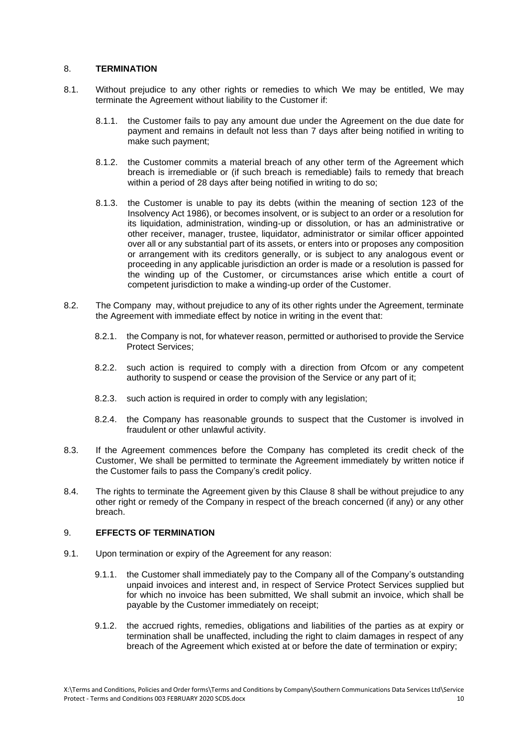### 8. **TERMINATION**

- 8.1. Without prejudice to any other rights or remedies to which We may be entitled, We may terminate the Agreement without liability to the Customer if:
	- 8.1.1. the Customer fails to pay any amount due under the Agreement on the due date for payment and remains in default not less than 7 days after being notified in writing to make such payment;
	- 8.1.2. the Customer commits a material breach of any other term of the Agreement which breach is irremediable or (if such breach is remediable) fails to remedy that breach within a period of 28 days after being notified in writing to do so:
	- 8.1.3. the Customer is unable to pay its debts (within the meaning of section 123 of the Insolvency Act 1986), or becomes insolvent, or is subject to an order or a resolution for its liquidation, administration, winding-up or dissolution, or has an administrative or other receiver, manager, trustee, liquidator, administrator or similar officer appointed over all or any substantial part of its assets, or enters into or proposes any composition or arrangement with its creditors generally, or is subject to any analogous event or proceeding in any applicable jurisdiction an order is made or a resolution is passed for the winding up of the Customer, or circumstances arise which entitle a court of competent jurisdiction to make a winding-up order of the Customer.
- 8.2. The Company may, without prejudice to any of its other rights under the Agreement, terminate the Agreement with immediate effect by notice in writing in the event that:
	- 8.2.1. the Company is not, for whatever reason, permitted or authorised to provide the Service Protect Services;
	- 8.2.2. such action is required to comply with a direction from Ofcom or any competent authority to suspend or cease the provision of the Service or any part of it;
	- 8.2.3. such action is required in order to comply with any legislation;
	- 8.2.4. the Company has reasonable grounds to suspect that the Customer is involved in fraudulent or other unlawful activity.
- 8.3. If the Agreement commences before the Company has completed its credit check of the Customer, We shall be permitted to terminate the Agreement immediately by written notice if the Customer fails to pass the Company's credit policy.
- 8.4. The rights to terminate the Agreement given by this Clause 8 shall be without prejudice to any other right or remedy of the Company in respect of the breach concerned (if any) or any other breach.

# 9. **EFFECTS OF TERMINATION**

- 9.1. Upon termination or expiry of the Agreement for any reason:
	- 9.1.1. the Customer shall immediately pay to the Company all of the Company's outstanding unpaid invoices and interest and, in respect of Service Protect Services supplied but for which no invoice has been submitted, We shall submit an invoice, which shall be payable by the Customer immediately on receipt;
	- 9.1.2. the accrued rights, remedies, obligations and liabilities of the parties as at expiry or termination shall be unaffected, including the right to claim damages in respect of any breach of the Agreement which existed at or before the date of termination or expiry;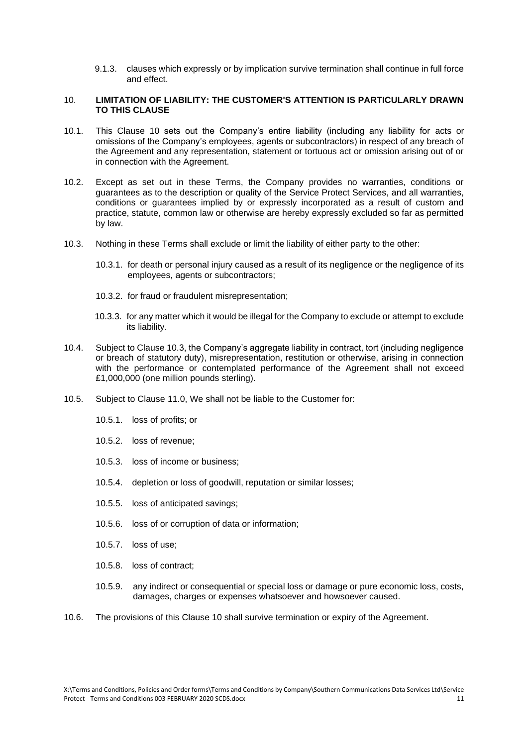9.1.3. clauses which expressly or by implication survive termination shall continue in full force and effect.

#### 10. **LIMITATION OF LIABILITY: THE CUSTOMER'S ATTENTION IS PARTICULARLY DRAWN TO THIS CLAUSE**

- 10.1. This Clause 10 sets out the Company's entire liability (including any liability for acts or omissions of the Company's employees, agents or subcontractors) in respect of any breach of the Agreement and any representation, statement or tortuous act or omission arising out of or in connection with the Agreement.
- 10.2. Except as set out in these Terms, the Company provides no warranties, conditions or guarantees as to the description or quality of the Service Protect Services, and all warranties, conditions or guarantees implied by or expressly incorporated as a result of custom and practice, statute, common law or otherwise are hereby expressly excluded so far as permitted by law.
- 10.3. Nothing in these Terms shall exclude or limit the liability of either party to the other:
	- 10.3.1. for death or personal injury caused as a result of its negligence or the negligence of its employees, agents or subcontractors;
	- 10.3.2. for fraud or fraudulent misrepresentation;
	- 10.3.3. for any matter which it would be illegal for the Company to exclude or attempt to exclude its liability.
- 10.4. Subject to Clause 10.3, the Company's aggregate liability in contract, tort (including negligence or breach of statutory duty), misrepresentation, restitution or otherwise, arising in connection with the performance or contemplated performance of the Agreement shall not exceed £1,000,000 (one million pounds sterling).
- 10.5. Subject to Clause 11.0, We shall not be liable to the Customer for:
	- 10.5.1. loss of profits; or
	- 10.5.2. loss of revenue;
	- 10.5.3. loss of income or business;
	- 10.5.4. depletion or loss of goodwill, reputation or similar losses;
	- 10.5.5. loss of anticipated savings;
	- 10.5.6. loss of or corruption of data or information;
	- 10.5.7. loss of use;
	- 10.5.8. loss of contract;
	- 10.5.9. any indirect or consequential or special loss or damage or pure economic loss, costs, damages, charges or expenses whatsoever and howsoever caused.
- 10.6. The provisions of this Clause 10 shall survive termination or expiry of the Agreement.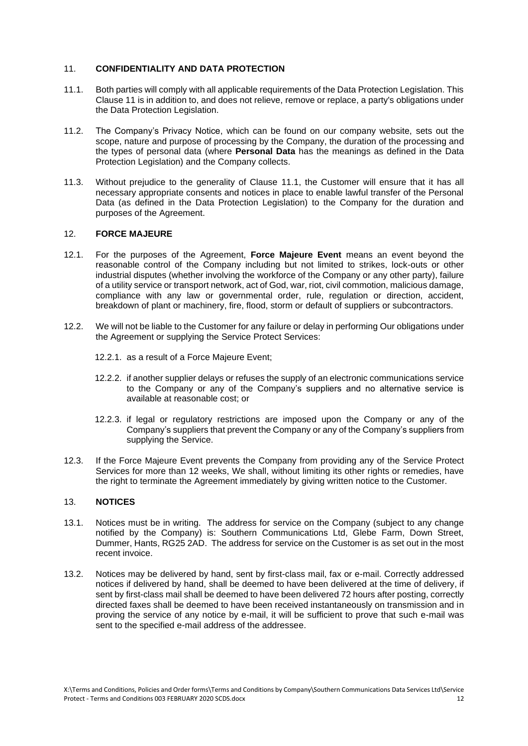### 11. **CONFIDENTIALITY AND DATA PROTECTION**

- <span id="page-11-0"></span>11.1. Both parties will comply with all applicable requirements of the Data Protection Legislation. This Clause 11 is in addition to, and does not relieve, remove or replace, a party's obligations under the Data Protection Legislation.
- 11.2. The Company's Privacy Notice, which can be found on our company website, sets out the scope, nature and purpose of processing by the Company, the duration of the processing and the types of personal data (where **Personal Data** has the meanings as defined in the Data Protection Legislation) and the Company collects.
- 11.3. Without prejudice to the generality of Clause [11.1,](#page-11-0) the Customer will ensure that it has all necessary appropriate consents and notices in place to enable lawful transfer of the Personal Data (as defined in the Data Protection Legislation) to the Company for the duration and purposes of the Agreement.

#### 12. **FORCE MAJEURE**

- 12.1. For the purposes of the Agreement, **Force Majeure Event** means an event beyond the reasonable control of the Company including but not limited to strikes, lock-outs or other industrial disputes (whether involving the workforce of the Company or any other party), failure of a utility service or transport network, act of God, war, riot, civil commotion, malicious damage, compliance with any law or governmental order, rule, regulation or direction, accident, breakdown of plant or machinery, fire, flood, storm or default of suppliers or subcontractors.
- 12.2. We will not be liable to the Customer for any failure or delay in performing Our obligations under the Agreement or supplying the Service Protect Services:
	- 12.2.1. as a result of a Force Majeure Event;
	- 12.2.2. if another supplier delays or refuses the supply of an electronic communications service to the Company or any of the Company's suppliers and no alternative service is available at reasonable cost; or
	- 12.2.3. if legal or regulatory restrictions are imposed upon the Company or any of the Company's suppliers that prevent the Company or any of the Company's suppliers from supplying the Service.
- 12.3. If the Force Majeure Event prevents the Company from providing any of the Service Protect Services for more than 12 weeks, We shall, without limiting its other rights or remedies, have the right to terminate the Agreement immediately by giving written notice to the Customer.

### 13. **NOTICES**

- 13.1. Notices must be in writing. The address for service on the Company (subject to any change notified by the Company) is: Southern Communications Ltd, Glebe Farm, Down Street, Dummer, Hants, RG25 2AD. The address for service on the Customer is as set out in the most recent invoice.
- 13.2. Notices may be delivered by hand, sent by first-class mail, fax or e-mail. Correctly addressed notices if delivered by hand, shall be deemed to have been delivered at the time of delivery, if sent by first-class mail shall be deemed to have been delivered 72 hours after posting, correctly directed faxes shall be deemed to have been received instantaneously on transmission and in proving the service of any notice by e-mail, it will be sufficient to prove that such e-mail was sent to the specified e-mail address of the addressee.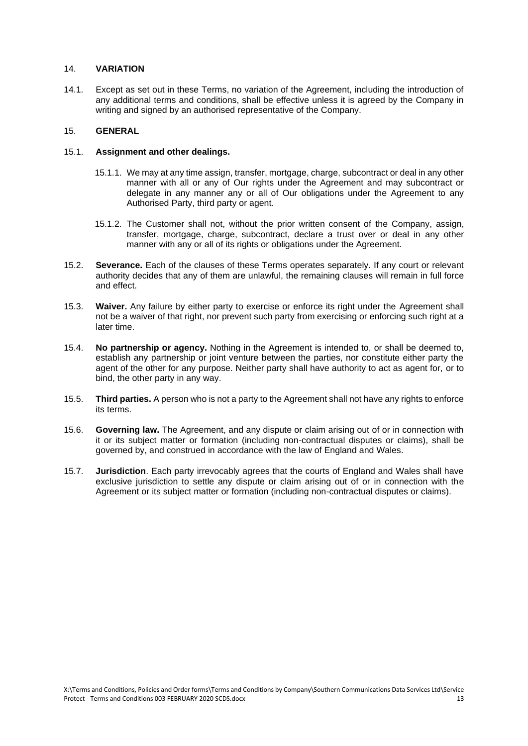# 14. **VARIATION**

14.1. Except as set out in these Terms, no variation of the Agreement, including the introduction of any additional terms and conditions, shall be effective unless it is agreed by the Company in writing and signed by an authorised representative of the Company.

### 15. **GENERAL**

### 15.1. **Assignment and other dealings.**

- 15.1.1. We may at any time assign, transfer, mortgage, charge, subcontract or deal in any other manner with all or any of Our rights under the Agreement and may subcontract or delegate in any manner any or all of Our obligations under the Agreement to any Authorised Party, third party or agent.
- 15.1.2. The Customer shall not, without the prior written consent of the Company, assign, transfer, mortgage, charge, subcontract, declare a trust over or deal in any other manner with any or all of its rights or obligations under the Agreement.
- 15.2. **Severance.** Each of the clauses of these Terms operates separately. If any court or relevant authority decides that any of them are unlawful, the remaining clauses will remain in full force and effect.
- 15.3. **Waiver.** Any failure by either party to exercise or enforce its right under the Agreement shall not be a waiver of that right, nor prevent such party from exercising or enforcing such right at a later time.
- 15.4. **No partnership or agency.** Nothing in the Agreement is intended to, or shall be deemed to, establish any partnership or joint venture between the parties, nor constitute either party the agent of the other for any purpose. Neither party shall have authority to act as agent for, or to bind, the other party in any way.
- 15.5. **Third parties.** A person who is not a party to the Agreement shall not have any rights to enforce its terms.
- 15.6. **Governing law.** The Agreement, and any dispute or claim arising out of or in connection with it or its subject matter or formation (including non-contractual disputes or claims), shall be governed by, and construed in accordance with the law of England and Wales.
- 15.7. **Jurisdiction**. Each party irrevocably agrees that the courts of England and Wales shall have exclusive jurisdiction to settle any dispute or claim arising out of or in connection with the Agreement or its subject matter or formation (including non-contractual disputes or claims).